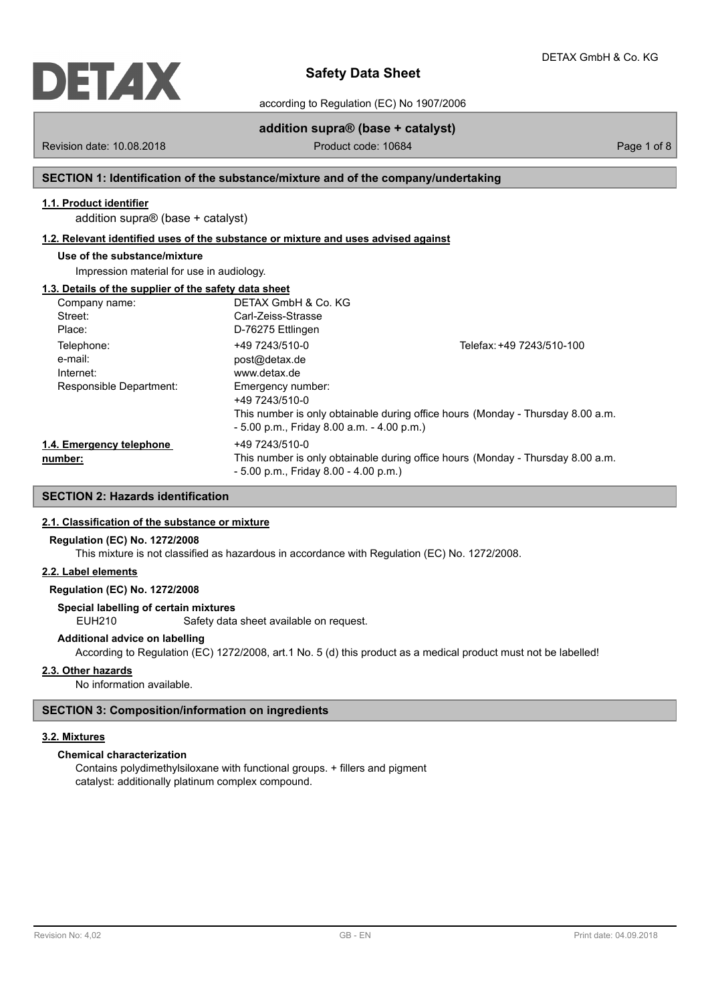

according to Regulation (EC) No 1907/2006

# **addition supra® (base + catalyst)**

Revision date: 10.08.2018 **Product code: 10684** Product code: 10684

# **SECTION 1: Identification of the substance/mixture and of the company/undertaking**

# **1.1. Product identifier**

addition supra® (base + catalyst)

### **1.2. Relevant identified uses of the substance or mixture and uses advised against**

# **Use of the substance/mixture**

Impression material for use in audiology.

## **1.3. Details of the supplier of the safety data sheet**

| Company name:            | DETAX GmbH & Co. KG                          |                                                                                 |
|--------------------------|----------------------------------------------|---------------------------------------------------------------------------------|
| Street:                  | Carl-Zeiss-Strasse                           |                                                                                 |
| Place:                   | D-76275 Ettlingen                            |                                                                                 |
| Telephone:               | +49 7243/510-0                               | Telefax: +49 7243/510-100                                                       |
| e-mail:                  | post@detax.de                                |                                                                                 |
| Internet:                | www.detax.de                                 |                                                                                 |
| Responsible Department:  | Emergency number:                            |                                                                                 |
|                          | +49 7243/510-0                               |                                                                                 |
|                          |                                              | This number is only obtainable during office hours (Monday - Thursday 8.00 a.m. |
|                          | $-5.00$ p.m., Friday 8.00 a.m. $-4.00$ p.m.) |                                                                                 |
| 1.4. Emergency telephone | +49 7243/510-0                               |                                                                                 |
| number:                  |                                              | This number is only obtainable during office hours (Monday - Thursday 8.00 a.m. |
|                          | $-5.00$ p.m., Friday 8.00 $-4.00$ p.m.)      |                                                                                 |

# **SECTION 2: Hazards identification**

### **2.1. Classification of the substance or mixture**

### **Regulation (EC) No. 1272/2008**

This mixture is not classified as hazardous in accordance with Regulation (EC) No. 1272/2008.

### **2.2. Label elements**

## **Regulation (EC) No. 1272/2008**

**Special labelling of certain mixtures**

EUH210 Safety data sheet available on request.

### **Additional advice on labelling**

According to Regulation (EC) 1272/2008, art.1 No. 5 (d) this product as a medical product must not be labelled!

### **2.3. Other hazards**

No information available.

## **SECTION 3: Composition/information on ingredients**

#### **3.2. Mixtures**

# **Chemical characterization**

Contains polydimethylsiloxane with functional groups. + fillers and pigment catalyst: additionally platinum complex compound.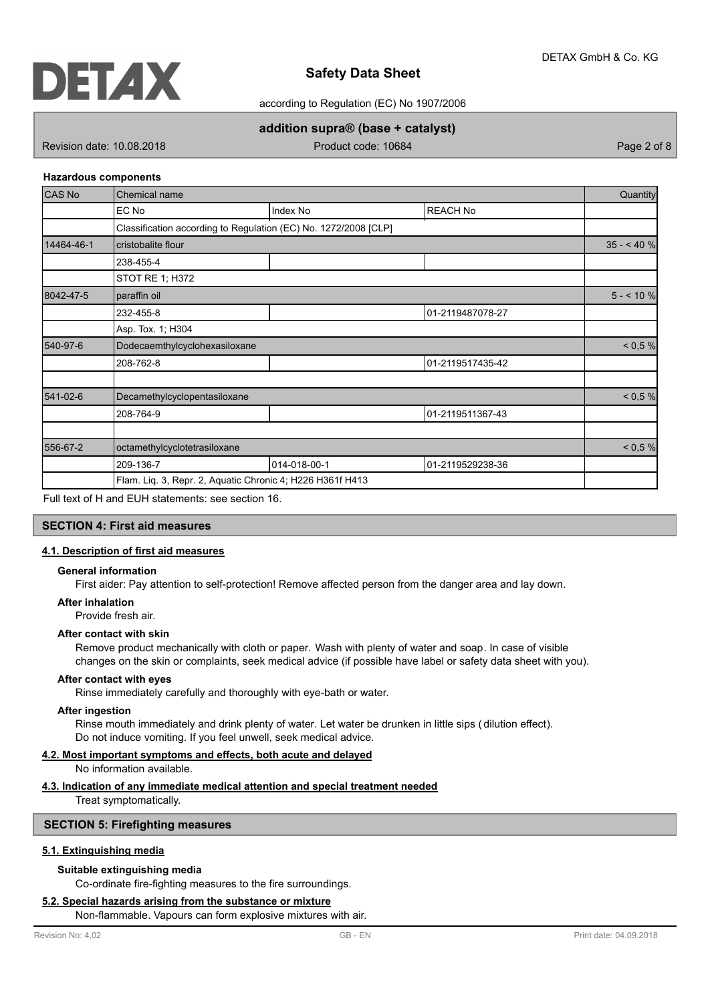

according to Regulation (EC) No 1907/2006

# **addition supra® (base + catalyst)**

Revision date: 10.08.2018 **Product code: 10684** Page 2 of 8

### **Hazardous components**

| <b>CAS No</b> | Chemical name                                             |                                                                 |                  |            |  |
|---------------|-----------------------------------------------------------|-----------------------------------------------------------------|------------------|------------|--|
|               | EC No                                                     | Index No                                                        | <b>REACH No</b>  |            |  |
|               |                                                           | Classification according to Regulation (EC) No. 1272/2008 [CLP] |                  |            |  |
| 14464-46-1    | cristobalite flour                                        |                                                                 |                  | $35 - 40%$ |  |
|               | 238-455-4                                                 |                                                                 |                  |            |  |
|               | STOT RE 1; H372                                           |                                                                 |                  |            |  |
| 8042-47-5     | paraffin oil                                              |                                                                 |                  | $5 - 10%$  |  |
|               | 232-455-8                                                 |                                                                 | 01-2119487078-27 |            |  |
|               | Asp. Tox. 1; H304                                         |                                                                 |                  |            |  |
| 540-97-6      | Dodecaemthylcyclohexasiloxane                             | < 0.5 %                                                         |                  |            |  |
|               | 208-762-8                                                 |                                                                 | 01-2119517435-42 |            |  |
| 541-02-6      | Decamethylcyclopentasiloxane                              |                                                                 |                  | < 0.5 %    |  |
|               | 208-764-9                                                 |                                                                 | 01-2119511367-43 |            |  |
| 556-67-2      | octamethylcyclotetrasiloxane                              |                                                                 |                  |            |  |
|               | 209-136-7                                                 | 014-018-00-1                                                    | 01-2119529238-36 |            |  |
|               | Flam. Liq. 3, Repr. 2, Aquatic Chronic 4; H226 H361f H413 |                                                                 |                  |            |  |

Full text of H and EUH statements: see section 16.

## **SECTION 4: First aid measures**

# **4.1. Description of first aid measures**

## **General information**

First aider: Pay attention to self-protection! Remove affected person from the danger area and lay down.

#### **After inhalation**

Provide fresh air.

## **After contact with skin**

Remove product mechanically with cloth or paper. Wash with plenty of water and soap. In case of visible changes on the skin or complaints, seek medical advice (if possible have label or safety data sheet with you).

### **After contact with eyes**

Rinse immediately carefully and thoroughly with eye-bath or water.

#### **After ingestion**

Rinse mouth immediately and drink plenty of water. Let water be drunken in little sips ( dilution effect). Do not induce vomiting. If you feel unwell, seek medical advice.

### **4.2. Most important symptoms and effects, both acute and delayed**

No information available.

## **4.3. Indication of any immediate medical attention and special treatment needed**

Treat symptomatically.

### **SECTION 5: Firefighting measures**

### **5.1. Extinguishing media**

### **Suitable extinguishing media**

Co-ordinate fire-fighting measures to the fire surroundings.

### **5.2. Special hazards arising from the substance or mixture**

Non-flammable. Vapours can form explosive mixtures with air.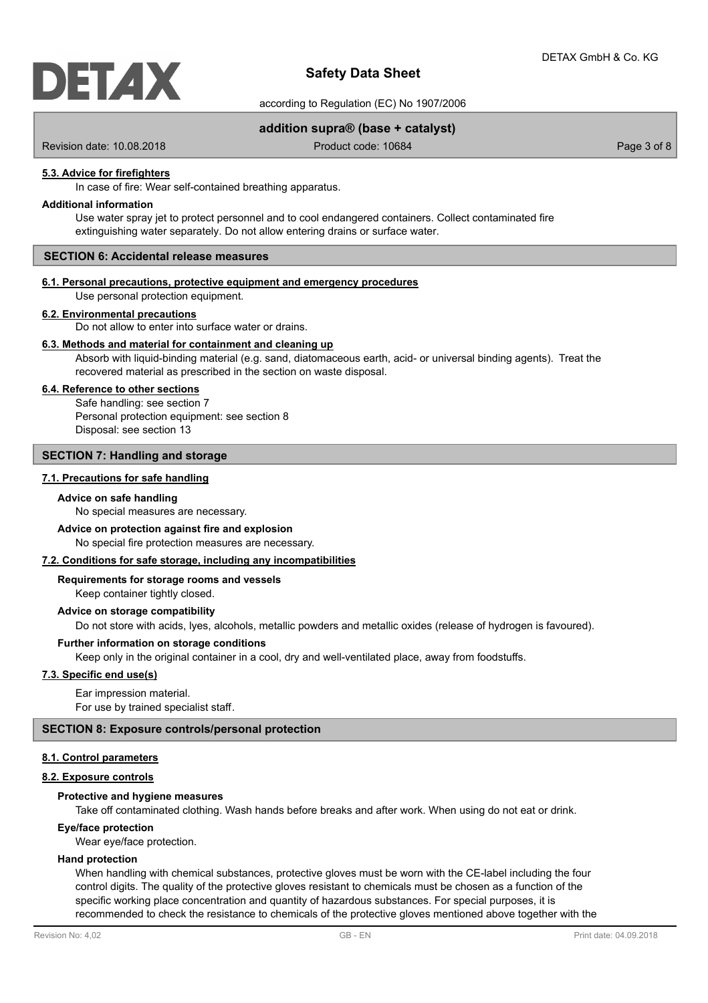

according to Regulation (EC) No 1907/2006

## **addition supra® (base + catalyst)**

Revision date: 10.08.2018 **Product code: 10684** Product code: 10684

### **5.3. Advice for firefighters**

In case of fire: Wear self-contained breathing apparatus.

### **Additional information**

Use water spray jet to protect personnel and to cool endangered containers. Collect contaminated fire extinguishing water separately. Do not allow entering drains or surface water.

## **SECTION 6: Accidental release measures**

# **6.1. Personal precautions, protective equipment and emergency procedures**

Use personal protection equipment.

#### **6.2. Environmental precautions**

Do not allow to enter into surface water or drains.

### **6.3. Methods and material for containment and cleaning up**

Absorb with liquid-binding material (e.g. sand, diatomaceous earth, acid- or universal binding agents). Treat the recovered material as prescribed in the section on waste disposal.

### **6.4. Reference to other sections**

Safe handling: see section 7 Personal protection equipment: see section 8 Disposal: see section 13

## **SECTION 7: Handling and storage**

### **7.1. Precautions for safe handling**

### **Advice on safe handling**

No special measures are necessary.

#### **Advice on protection against fire and explosion**

No special fire protection measures are necessary.

#### **7.2. Conditions for safe storage, including any incompatibilities**

Keep container tightly closed. **Requirements for storage rooms and vessels**

### **Advice on storage compatibility**

Do not store with acids, lyes, alcohols, metallic powders and metallic oxides (release of hydrogen is favoured).

### **Further information on storage conditions**

Keep only in the original container in a cool, dry and well-ventilated place, away from foodstuffs.

## **7.3. Specific end use(s)**

Ear impression material. For use by trained specialist staff.

### **SECTION 8: Exposure controls/personal protection**

### **8.1. Control parameters**

## **8.2. Exposure controls**

## **Protective and hygiene measures**

Take off contaminated clothing. Wash hands before breaks and after work. When using do not eat or drink.

## **Eye/face protection**

Wear eye/face protection.

### **Hand protection**

When handling with chemical substances, protective gloves must be worn with the CE-label including the four control digits. The quality of the protective gloves resistant to chemicals must be chosen as a function of the specific working place concentration and quantity of hazardous substances. For special purposes, it is recommended to check the resistance to chemicals of the protective gloves mentioned above together with the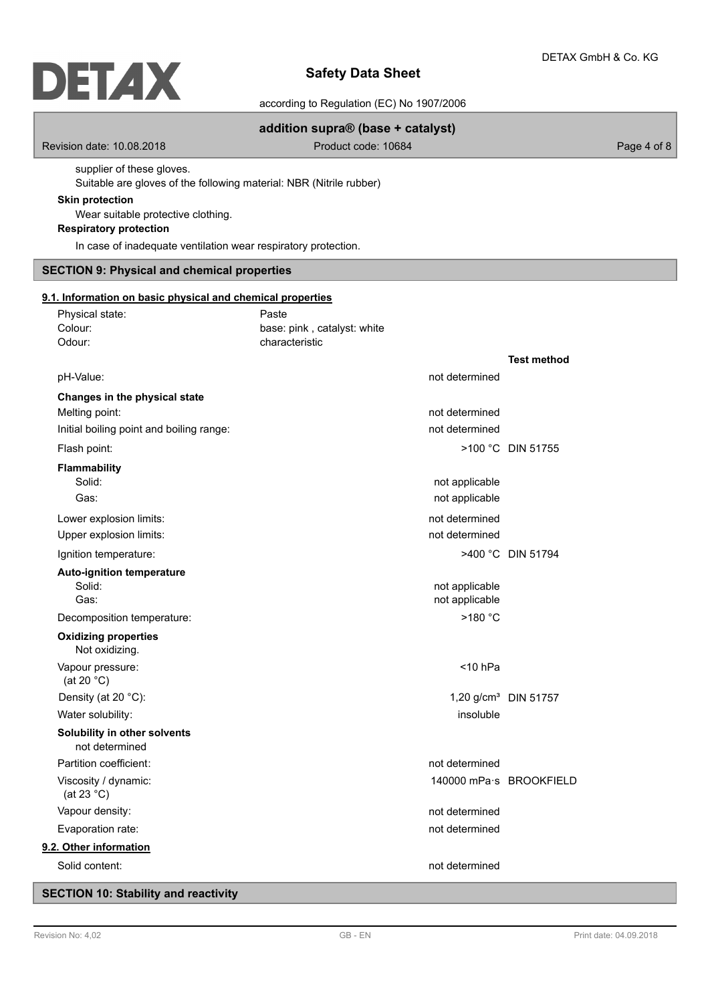according to Regulation (EC) No 1907/2006

# **addition supra® (base + catalyst)**

Revision date: 10.08.2018 **Product code: 10684** Product code: 10684

supplier of these gloves. Suitable are gloves of the following material: NBR (Nitrile rubber)

### **Skin protection**

Wear suitable protective clothing.

# **Respiratory protection**

In case of inadequate ventilation wear respiratory protection.

# **SECTION 9: Physical and chemical properties**

Physical state: Paste

### **9.1. Information on basic physical and chemical properties**

| Colour:<br>Odour:                              | base: pink, catalyst: white<br>characteristic |                                  |
|------------------------------------------------|-----------------------------------------------|----------------------------------|
|                                                |                                               | <b>Test method</b>               |
| pH-Value:                                      | not determined                                |                                  |
| Changes in the physical state                  |                                               |                                  |
| Melting point:                                 | not determined                                |                                  |
| Initial boiling point and boiling range:       | not determined                                |                                  |
| Flash point:                                   |                                               | >100 °C DIN 51755                |
| <b>Flammability</b>                            |                                               |                                  |
| Solid:                                         | not applicable                                |                                  |
| Gas:                                           | not applicable                                |                                  |
| Lower explosion limits:                        | not determined                                |                                  |
| Upper explosion limits:                        | not determined                                |                                  |
| Ignition temperature:                          |                                               | >400 °C DIN 51794                |
| <b>Auto-ignition temperature</b>               |                                               |                                  |
| Solid:                                         | not applicable                                |                                  |
| Gas:                                           | not applicable                                |                                  |
| Decomposition temperature:                     | $>180$ °C                                     |                                  |
| <b>Oxidizing properties</b><br>Not oxidizing.  |                                               |                                  |
| Vapour pressure:<br>(at 20 $°C$ )              | $<$ 10 hPa                                    |                                  |
| Density (at 20 °C):                            |                                               | 1,20 g/cm <sup>3</sup> DIN 51757 |
| Water solubility:                              | insoluble                                     |                                  |
| Solubility in other solvents<br>not determined |                                               |                                  |
| Partition coefficient:                         | not determined                                |                                  |
| Viscosity / dynamic:<br>(at 23 $^{\circ}$ C)   |                                               | 140000 mPa·s BROOKFIELD          |
| Vapour density:                                | not determined                                |                                  |
| Evaporation rate:                              | not determined                                |                                  |
| 9.2. Other information                         |                                               |                                  |
| Solid content:                                 | not determined                                |                                  |

# **SECTION 10: Stability and reactivity**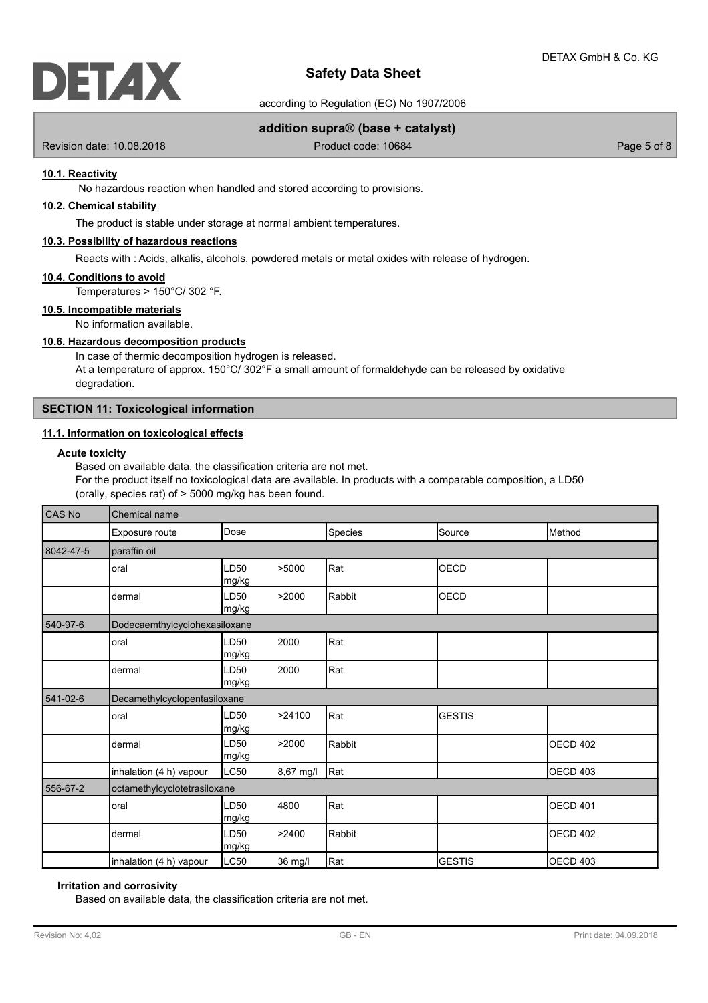

according to Regulation (EC) No 1907/2006

## **addition supra® (base + catalyst)**

Revision date: 10.08.2018 **Product code: 10684** Product code: 10684

## **10.1. Reactivity**

No hazardous reaction when handled and stored according to provisions.

# **10.2. Chemical stability**

The product is stable under storage at normal ambient temperatures.

## **10.3. Possibility of hazardous reactions**

Reacts with : Acids, alkalis, alcohols, powdered metals or metal oxides with release of hydrogen.

#### **10.4. Conditions to avoid**

Temperatures > 150°C/ 302 °F.

## **10.5. Incompatible materials**

No information available.

# **10.6. Hazardous decomposition products**

In case of thermic decomposition hydrogen is released. At a temperature of approx.  $150^{\circ}$ C/  $302^{\circ}$ F a small amount of formaldehyde can be released by oxidative degradation.

## **SECTION 11: Toxicological information**

### **11.1. Information on toxicological effects**

## **Acute toxicity**

Based on available data, the classification criteria are not met. For the product itself no toxicological data are available. In products with a comparable composition, a LD50 (orally, species rat) of > 5000 mg/kg has been found.

| CAS No    | Chemical name                 |               |           |         |               |                 |
|-----------|-------------------------------|---------------|-----------|---------|---------------|-----------------|
|           | Exposure route                | Dose          |           | Species | Source        | Method          |
| 8042-47-5 | paraffin oil                  |               |           |         |               |                 |
|           | oral                          | LD50<br>mg/kg | >5000     | Rat     | OECD          |                 |
|           | dermal                        | LD50<br>mg/kg | >2000     | Rabbit  | <b>OECD</b>   |                 |
| 540-97-6  | Dodecaemthylcyclohexasiloxane |               |           |         |               |                 |
|           | oral                          | LD50<br>mg/kg | 2000      | Rat     |               |                 |
|           | dermal                        | LD50<br>mg/kg | 2000      | Rat     |               |                 |
| 541-02-6  | Decamethylcyclopentasiloxane  |               |           |         |               |                 |
|           | oral                          | LD50<br>mg/kg | >24100    | Rat     | <b>GESTIS</b> |                 |
|           | dermal                        | LD50<br>mg/kg | >2000     | Rabbit  |               | <b>OECD 402</b> |
|           | inhalation (4 h) vapour       | LC50          | 8,67 mg/l | Rat     |               | OECD 403        |
| 556-67-2  | octamethylcyclotetrasiloxane  |               |           |         |               |                 |
|           | oral                          | LD50<br>mg/kg | 4800      | Rat     |               | <b>OECD 401</b> |
|           | dermal                        | LD50<br>mg/kg | >2400     | Rabbit  |               | <b>OECD 402</b> |
|           | inhalation (4 h) vapour       | LC50          | 36 mg/l   | Rat     | <b>GESTIS</b> | OECD 403        |

### **Irritation and corrosivity**

Based on available data, the classification criteria are not met.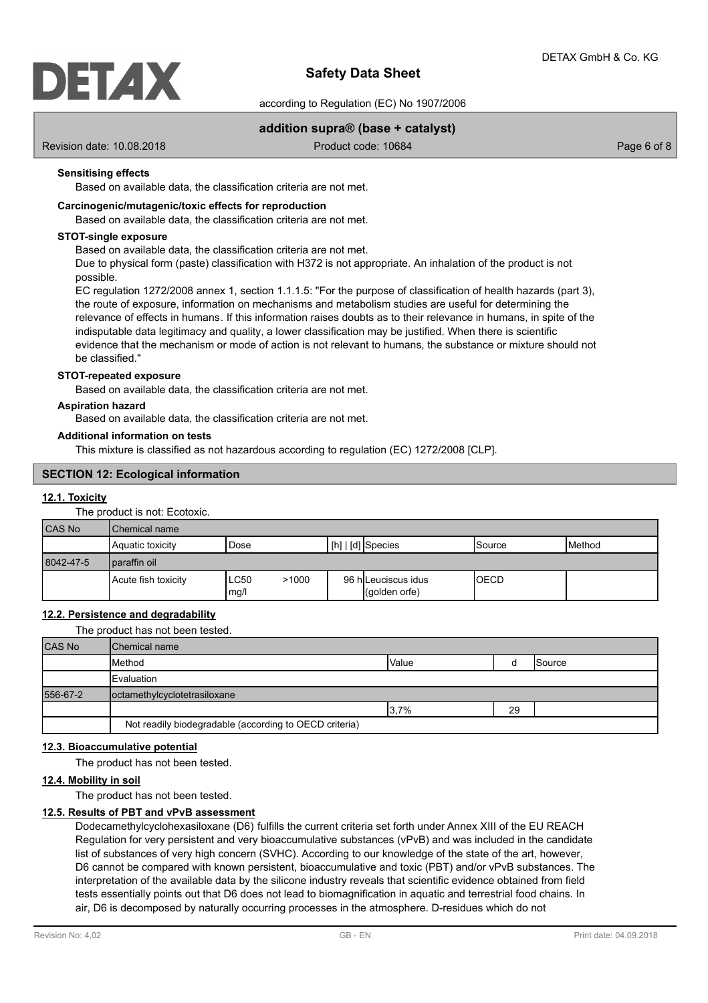

according to Regulation (EC) No 1907/2006

## **addition supra® (base + catalyst)**

Revision date: 10.08.2018 **Product code: 10684** Product code: 10684

## **Sensitising effects**

Based on available data, the classification criteria are not met.

### **Carcinogenic/mutagenic/toxic effects for reproduction**

Based on available data, the classification criteria are not met.

### **STOT-single exposure**

Based on available data, the classification criteria are not met.

Due to physical form (paste) classification with H372 is not appropriate. An inhalation of the product is not possible.

EC regulation 1272/2008 annex 1, section 1.1.1.5: "For the purpose of classification of health hazards (part 3), the route of exposure, information on mechanisms and metabolism studies are useful for determining the relevance of effects in humans. If this information raises doubts as to their relevance in humans, in spite of the indisputable data legitimacy and quality, a lower classification may be justified. When there is scientific evidence that the mechanism or mode of action is not relevant to humans, the substance or mixture should not be classified."

### **STOT-repeated exposure**

Based on available data, the classification criteria are not met.

#### **Aspiration hazard**

Based on available data, the classification criteria are not met.

#### **Additional information on tests**

This mixture is classified as not hazardous according to regulation (EC) 1272/2008 [CLP].

### **SECTION 12: Ecological information**

### **12.1. Toxicity**

The product is not: Ecotoxic.

| <b>CAS No</b> | l Chemical name     |                              |                                      |             |                 |  |
|---------------|---------------------|------------------------------|--------------------------------------|-------------|-----------------|--|
|               | Aquatic toxicity    | Dose                         | $\lfloor$ [h] $\lfloor$ [d] Species  | Source      | <b>I</b> Method |  |
| 8042-47-5     | paraffin oil        |                              |                                      |             |                 |  |
|               | Acute fish toxicity | <b>LC50</b><br>>1000<br>mg/l | 96 h Leuciscus idus<br>(qolden orfe) | <b>OECD</b> |                 |  |

## **12.2. Persistence and degradability**

The product has not been tested.

| <b>CAS No</b> | <b>IChemical name</b>                                  |              |    |        |
|---------------|--------------------------------------------------------|--------------|----|--------|
|               | Method                                                 | <b>Value</b> |    | Source |
|               | <b>IEvaluation</b>                                     |              |    |        |
| 556-67-2      | octamethylcyclotetrasiloxane                           |              |    |        |
|               |                                                        | 3,7%         | 29 |        |
|               | Not readily biodegradable (according to OECD criteria) |              |    |        |

### **12.3. Bioaccumulative potential**

The product has not been tested.

#### **12.4. Mobility in soil**

The product has not been tested.

### **12.5. Results of PBT and vPvB assessment**

Dodecamethylcyclohexasiloxane (D6) fulfills the current criteria set forth under Annex XIII of the EU REACH Regulation for very persistent and very bioaccumulative substances (vPvB) and was included in the candidate list of substances of very high concern (SVHC). According to our knowledge of the state of the art, however, D6 cannot be compared with known persistent, bioaccumulative and toxic (PBT) and/or vPvB substances. The interpretation of the available data by the silicone industry reveals that scientific evidence obtained from field tests essentially points out that D6 does not lead to biomagnification in aquatic and terrestrial food chains. In air, D6 is decomposed by naturally occurring processes in the atmosphere. D-residues which do not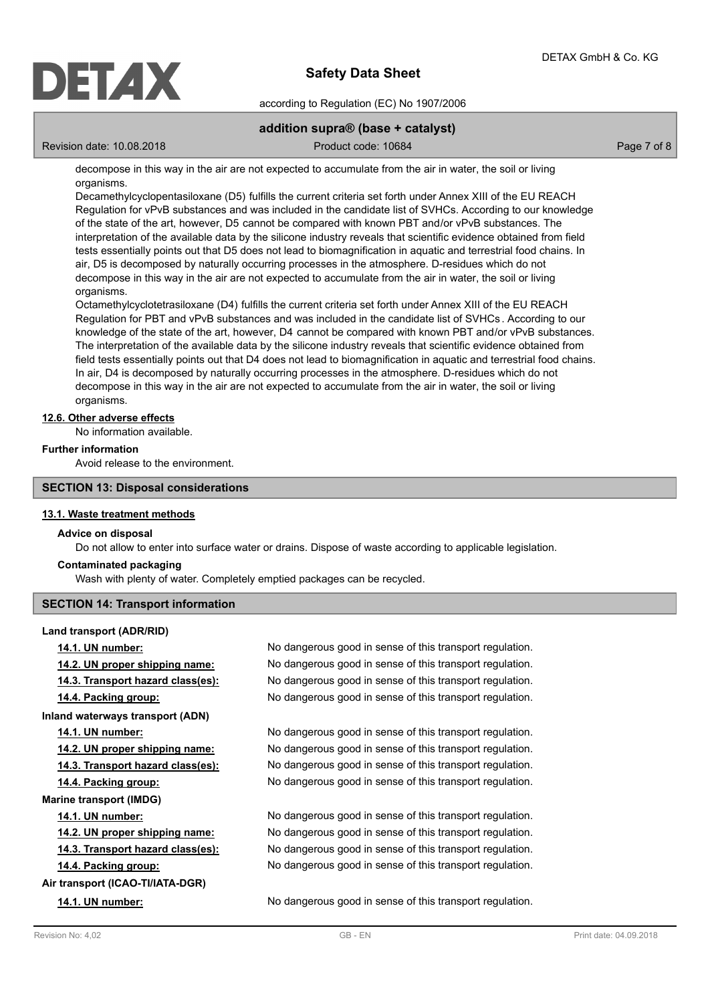

according to Regulation (EC) No 1907/2006

# **addition supra® (base + catalyst)**

Revision date: 10.08.2018 Product code: 10684 Product code: 10684

decompose in this way in the air are not expected to accumulate from the air in water, the soil or living organisms.

Decamethylcyclopentasiloxane (D5) fulfills the current criteria set forth under Annex XIII of the EU REACH Regulation for vPvB substances and was included in the candidate list of SVHCs. According to our knowledge of the state of the art, however, D5 cannot be compared with known PBT and/or vPvB substances. The interpretation of the available data by the silicone industry reveals that scientific evidence obtained from field tests essentially points out that D5 does not lead to biomagnification in aquatic and terrestrial food chains. In air, D5 is decomposed by naturally occurring processes in the atmosphere. D-residues which do not decompose in this way in the air are not expected to accumulate from the air in water, the soil or living organisms.

Octamethylcyclotetrasiloxane (D4) fulfills the current criteria set forth under Annex XIII of the EU REACH Regulation for PBT and vPvB substances and was included in the candidate list of SVHCs . According to our knowledge of the state of the art, however, D4 cannot be compared with known PBT and/or vPvB substances. The interpretation of the available data by the silicone industry reveals that scientific evidence obtained from field tests essentially points out that D4 does not lead to biomagnification in aquatic and terrestrial food chains. In air, D4 is decomposed by naturally occurring processes in the atmosphere. D-residues which do not decompose in this way in the air are not expected to accumulate from the air in water, the soil or living organisms.

## **12.6. Other adverse effects**

No information available.

## **Further information**

Avoid release to the environment.

## **SECTION 13: Disposal considerations**

### **13.1. Waste treatment methods**

### **Advice on disposal**

Do not allow to enter into surface water or drains. Dispose of waste according to applicable legislation.

### **Contaminated packaging**

Wash with plenty of water. Completely emptied packages can be recycled.

## **SECTION 14: Transport information**

**Land transport (ADR/RID) Inland waterways transport (ADN) Marine transport (IMDG) Air transport (ICAO-TI/IATA-DGR)**

**14.1. UN number:** No dangerous good in sense of this transport regulation. **14.2. UN proper shipping name:** No dangerous good in sense of this transport regulation. **14.3. Transport hazard class(es):** No dangerous good in sense of this transport regulation. **14.4. Packing group:** No dangerous good in sense of this transport regulation.

**14.1. UN number:** No dangerous good in sense of this transport regulation. **14.2. UN proper shipping name:** No dangerous good in sense of this transport regulation. **14.3. Transport hazard class(es):** No dangerous good in sense of this transport regulation. **14.4. Packing group:** No dangerous good in sense of this transport regulation.

**14.1. UN number:** No dangerous good in sense of this transport regulation. **14.2. UN proper shipping name:** No dangerous good in sense of this transport regulation. **14.3. Transport hazard class(es):** No dangerous good in sense of this transport regulation. **14.4. Packing group:** No dangerous good in sense of this transport regulation.

**14.1. UN number:** No dangerous good in sense of this transport regulation.